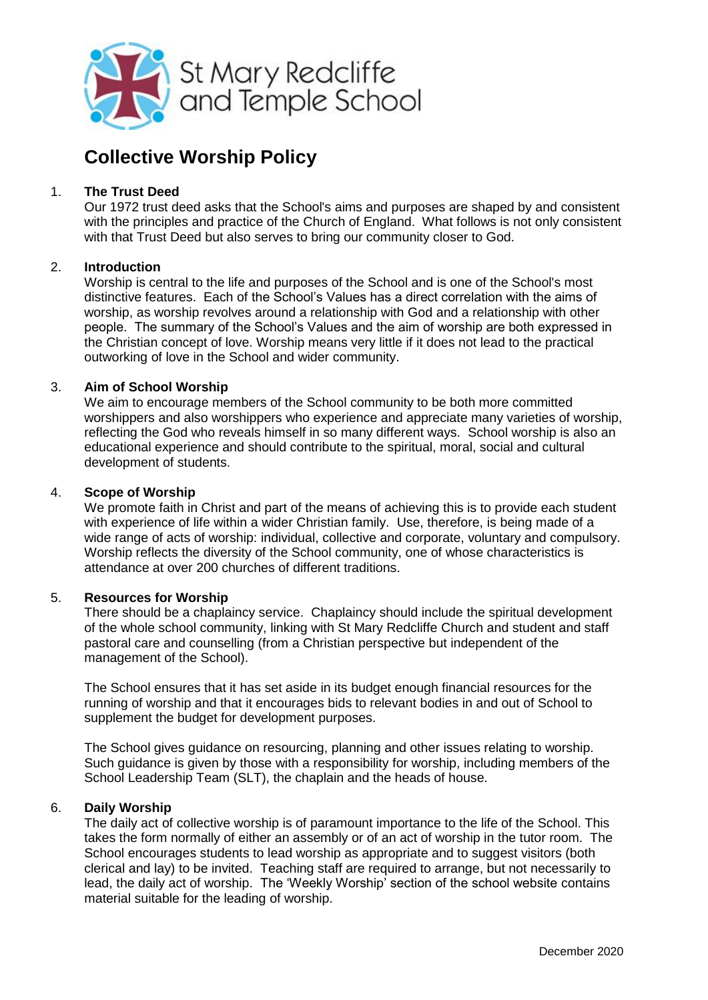

# **Collective Worship Policy**

# 1. **The Trust Deed**

Our 1972 trust deed asks that the School's aims and purposes are shaped by and consistent with the principles and practice of the Church of England. What follows is not only consistent with that Trust Deed but also serves to bring our community closer to God.

## 2. **Introduction**

Worship is central to the life and purposes of the School and is one of the School's most distinctive features. Each of the School's Values has a direct correlation with the aims of worship, as worship revolves around a relationship with God and a relationship with other people. The summary of the School's Values and the aim of worship are both expressed in the Christian concept of love. Worship means very little if it does not lead to the practical outworking of love in the School and wider community.

## 3. **Aim of School Worship**

We aim to encourage members of the School community to be both more committed worshippers and also worshippers who experience and appreciate many varieties of worship, reflecting the God who reveals himself in so many different ways. School worship is also an educational experience and should contribute to the spiritual, moral, social and cultural development of students.

## 4. **Scope of Worship**

We promote faith in Christ and part of the means of achieving this is to provide each student with experience of life within a wider Christian family. Use, therefore, is being made of a wide range of acts of worship: individual, collective and corporate, voluntary and compulsory. Worship reflects the diversity of the School community, one of whose characteristics is attendance at over 200 churches of different traditions.

# 5. **Resources for Worship**

There should be a chaplaincy service. Chaplaincy should include the spiritual development of the whole school community, linking with St Mary Redcliffe Church and student and staff pastoral care and counselling (from a Christian perspective but independent of the management of the School).

The School ensures that it has set aside in its budget enough financial resources for the running of worship and that it encourages bids to relevant bodies in and out of School to supplement the budget for development purposes.

The School gives guidance on resourcing, planning and other issues relating to worship. Such guidance is given by those with a responsibility for worship, including members of the School Leadership Team (SLT), the chaplain and the heads of house.

# 6. **Daily Worship**

The daily act of collective worship is of paramount importance to the life of the School. This takes the form normally of either an assembly or of an act of worship in the tutor room. The School encourages students to lead worship as appropriate and to suggest visitors (both clerical and lay) to be invited. Teaching staff are required to arrange, but not necessarily to lead, the daily act of worship. The 'Weekly Worship' section of the school website contains material suitable for the leading of worship.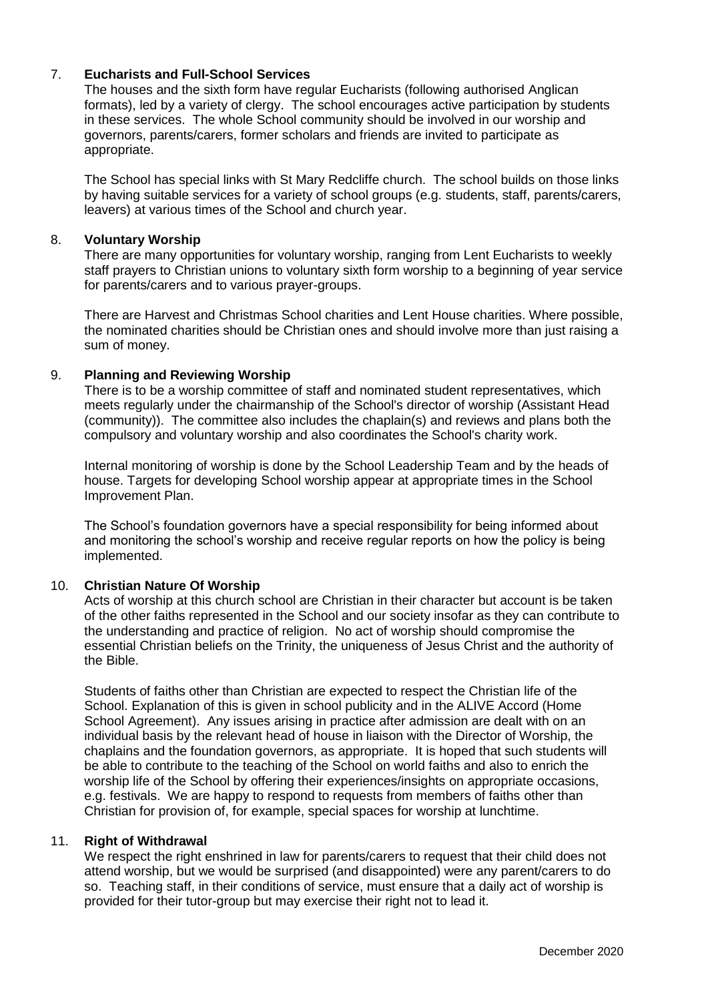# 7. **Eucharists and Full-School Services**

The houses and the sixth form have regular Eucharists (following authorised Anglican formats), led by a variety of clergy. The school encourages active participation by students in these services. The whole School community should be involved in our worship and governors, parents/carers, former scholars and friends are invited to participate as appropriate.

The School has special links with St Mary Redcliffe church. The school builds on those links by having suitable services for a variety of school groups (e.g. students, staff, parents/carers, leavers) at various times of the School and church year.

#### 8. **Voluntary Worship**

There are many opportunities for voluntary worship, ranging from Lent Eucharists to weekly staff prayers to Christian unions to voluntary sixth form worship to a beginning of year service for parents/carers and to various prayer-groups.

There are Harvest and Christmas School charities and Lent House charities. Where possible, the nominated charities should be Christian ones and should involve more than just raising a sum of money.

#### 9. **Planning and Reviewing Worship**

There is to be a worship committee of staff and nominated student representatives, which meets regularly under the chairmanship of the School's director of worship (Assistant Head (community)). The committee also includes the chaplain(s) and reviews and plans both the compulsory and voluntary worship and also coordinates the School's charity work.

Internal monitoring of worship is done by the School Leadership Team and by the heads of house. Targets for developing School worship appear at appropriate times in the School Improvement Plan.

The School's foundation governors have a special responsibility for being informed about and monitoring the school's worship and receive regular reports on how the policy is being implemented.

#### 10. **Christian Nature Of Worship**

Acts of worship at this church school are Christian in their character but account is be taken of the other faiths represented in the School and our society insofar as they can contribute to the understanding and practice of religion. No act of worship should compromise the essential Christian beliefs on the Trinity, the uniqueness of Jesus Christ and the authority of the Bible.

Students of faiths other than Christian are expected to respect the Christian life of the School. Explanation of this is given in school publicity and in the ALIVE Accord (Home School Agreement). Any issues arising in practice after admission are dealt with on an individual basis by the relevant head of house in liaison with the Director of Worship, the chaplains and the foundation governors, as appropriate. It is hoped that such students will be able to contribute to the teaching of the School on world faiths and also to enrich the worship life of the School by offering their experiences/insights on appropriate occasions, e.g. festivals. We are happy to respond to requests from members of faiths other than Christian for provision of, for example, special spaces for worship at lunchtime.

#### 11. **Right of Withdrawal**

We respect the right enshrined in law for parents/carers to request that their child does not attend worship, but we would be surprised (and disappointed) were any parent/carers to do so. Teaching staff, in their conditions of service, must ensure that a daily act of worship is provided for their tutor-group but may exercise their right not to lead it.